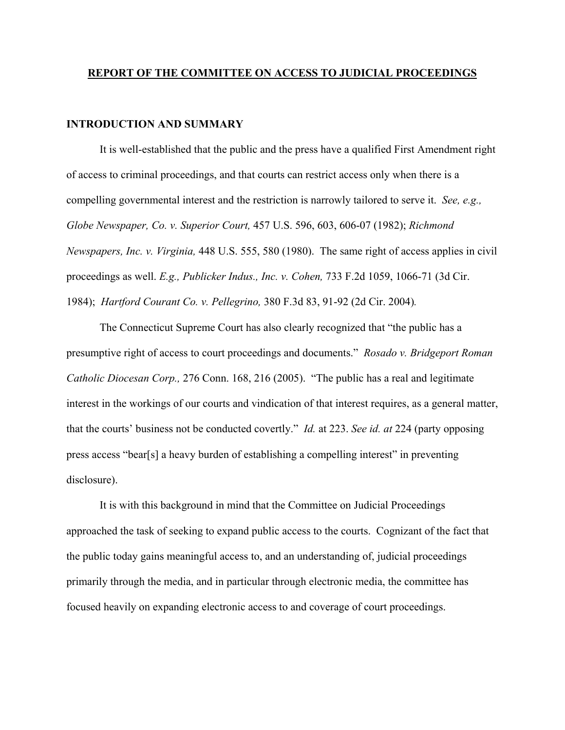#### **REPORT OF THE COMMITTEE ON ACCESS TO JUDICIAL PROCEEDINGS**

## **INTRODUCTION AND SUMMARY**

It is well-established that the public and the press have a qualified First Amendment right of access to criminal proceedings, and that courts can restrict access only when there is a compelling governmental interest and the restriction is narrowly tailored to serve it. *See, e.g., Globe Newspaper, Co. v. Superior Court,* 457 U.S. 596, 603, 606-07 (1982); *Richmond Newspapers, Inc. v. Virginia,* 448 U.S. 555, 580 (1980). The same right of access applies in civil proceedings as well. *E.g., Publicker Indus., Inc. v. Cohen,* 733 F.2d 1059, 1066-71 (3d Cir. 1984); *Hartford Courant Co. v. Pellegrino,* 380 F.3d 83, 91-92 (2d Cir. 2004)*.* 

The Connecticut Supreme Court has also clearly recognized that "the public has a presumptive right of access to court proceedings and documents." *Rosado v. Bridgeport Roman Catholic Diocesan Corp.,* 276 Conn. 168, 216 (2005). "The public has a real and legitimate interest in the workings of our courts and vindication of that interest requires, as a general matter, that the courts' business not be conducted covertly." *Id.* at 223. *See id. at* 224 (party opposing press access "bear[s] a heavy burden of establishing a compelling interest" in preventing disclosure).

 It is with this background in mind that the Committee on Judicial Proceedings approached the task of seeking to expand public access to the courts. Cognizant of the fact that the public today gains meaningful access to, and an understanding of, judicial proceedings primarily through the media, and in particular through electronic media, the committee has focused heavily on expanding electronic access to and coverage of court proceedings.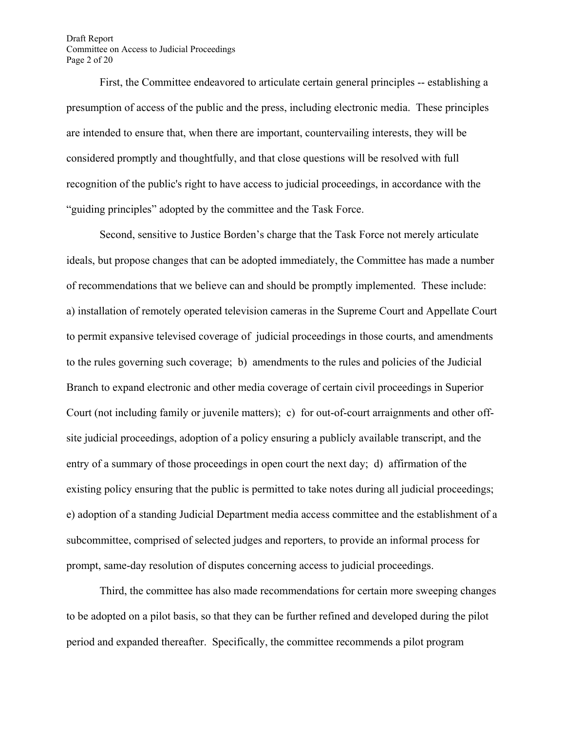Draft Report Committee on Access to Judicial Proceedings Page 2 of 20

 First, the Committee endeavored to articulate certain general principles -- establishing a presumption of access of the public and the press, including electronic media. These principles are intended to ensure that, when there are important, countervailing interests, they will be considered promptly and thoughtfully, and that close questions will be resolved with full recognition of the public's right to have access to judicial proceedings, in accordance with the "guiding principles" adopted by the committee and the Task Force.

 Second, sensitive to Justice Borden's charge that the Task Force not merely articulate ideals, but propose changes that can be adopted immediately, the Committee has made a number of recommendations that we believe can and should be promptly implemented. These include: a) installation of remotely operated television cameras in the Supreme Court and Appellate Court to permit expansive televised coverage of judicial proceedings in those courts, and amendments to the rules governing such coverage; b) amendments to the rules and policies of the Judicial Branch to expand electronic and other media coverage of certain civil proceedings in Superior Court (not including family or juvenile matters); c) for out-of-court arraignments and other offsite judicial proceedings, adoption of a policy ensuring a publicly available transcript, and the entry of a summary of those proceedings in open court the next day; d) affirmation of the existing policy ensuring that the public is permitted to take notes during all judicial proceedings; e) adoption of a standing Judicial Department media access committee and the establishment of a subcommittee, comprised of selected judges and reporters, to provide an informal process for prompt, same-day resolution of disputes concerning access to judicial proceedings.

 Third, the committee has also made recommendations for certain more sweeping changes to be adopted on a pilot basis, so that they can be further refined and developed during the pilot period and expanded thereafter. Specifically, the committee recommends a pilot program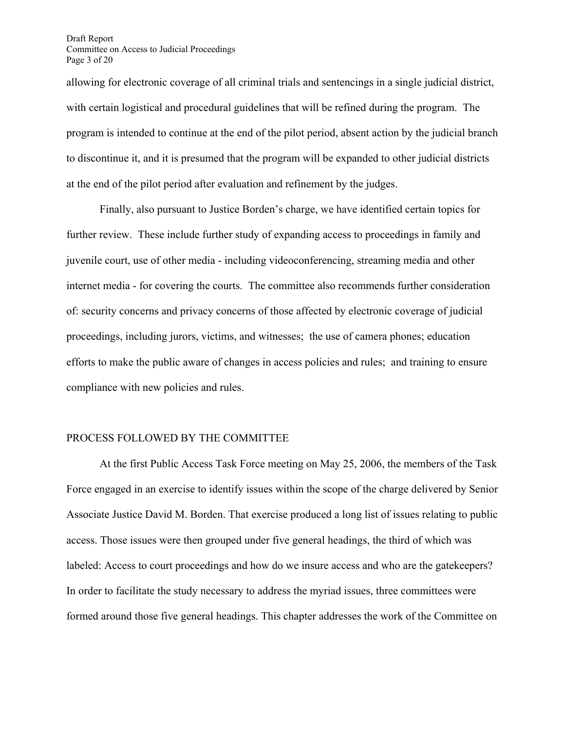allowing for electronic coverage of all criminal trials and sentencings in a single judicial district, with certain logistical and procedural guidelines that will be refined during the program. The program is intended to continue at the end of the pilot period, absent action by the judicial branch to discontinue it, and it is presumed that the program will be expanded to other judicial districts at the end of the pilot period after evaluation and refinement by the judges.

 Finally, also pursuant to Justice Borden's charge, we have identified certain topics for further review. These include further study of expanding access to proceedings in family and juvenile court, use of other media - including videoconferencing, streaming media and other internet media - for covering the courts. The committee also recommends further consideration of: security concerns and privacy concerns of those affected by electronic coverage of judicial proceedings, including jurors, victims, and witnesses; the use of camera phones; education efforts to make the public aware of changes in access policies and rules; and training to ensure compliance with new policies and rules.

## PROCESS FOLLOWED BY THE COMMITTEE

At the first Public Access Task Force meeting on May 25, 2006, the members of the Task Force engaged in an exercise to identify issues within the scope of the charge delivered by Senior Associate Justice David M. Borden. That exercise produced a long list of issues relating to public access. Those issues were then grouped under five general headings, the third of which was labeled: Access to court proceedings and how do we insure access and who are the gatekeepers? In order to facilitate the study necessary to address the myriad issues, three committees were formed around those five general headings. This chapter addresses the work of the Committee on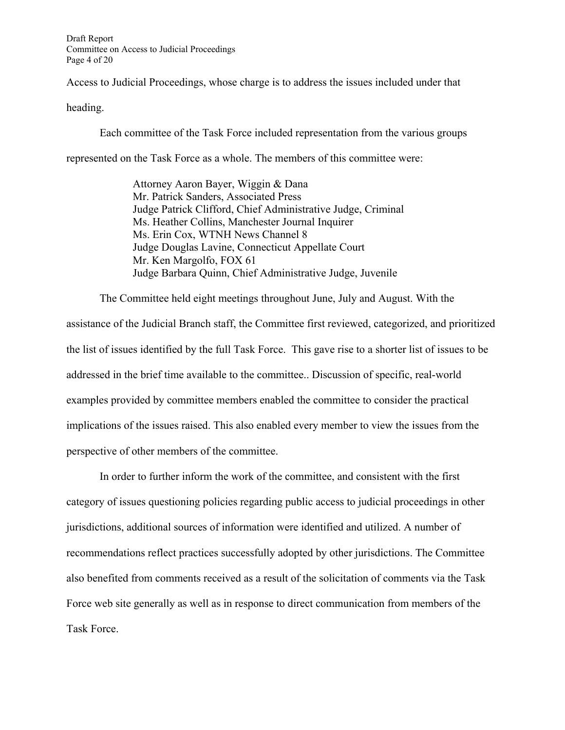Access to Judicial Proceedings, whose charge is to address the issues included under that

heading.

Each committee of the Task Force included representation from the various groups

represented on the Task Force as a whole. The members of this committee were:

Attorney Aaron Bayer, Wiggin & Dana Mr. Patrick Sanders, Associated Press Judge Patrick Clifford, Chief Administrative Judge, Criminal Ms. Heather Collins, Manchester Journal Inquirer Ms. Erin Cox, WTNH News Channel 8 Judge Douglas Lavine, Connecticut Appellate Court Mr. Ken Margolfo, FOX 61 Judge Barbara Quinn, Chief Administrative Judge, Juvenile

 The Committee held eight meetings throughout June, July and August. With the assistance of the Judicial Branch staff, the Committee first reviewed, categorized, and prioritized the list of issues identified by the full Task Force. This gave rise to a shorter list of issues to be addressed in the brief time available to the committee.. Discussion of specific, real-world examples provided by committee members enabled the committee to consider the practical implications of the issues raised. This also enabled every member to view the issues from the perspective of other members of the committee.

 In order to further inform the work of the committee, and consistent with the first category of issues questioning policies regarding public access to judicial proceedings in other jurisdictions, additional sources of information were identified and utilized. A number of recommendations reflect practices successfully adopted by other jurisdictions. The Committee also benefited from comments received as a result of the solicitation of comments via the Task Force web site generally as well as in response to direct communication from members of the Task Force.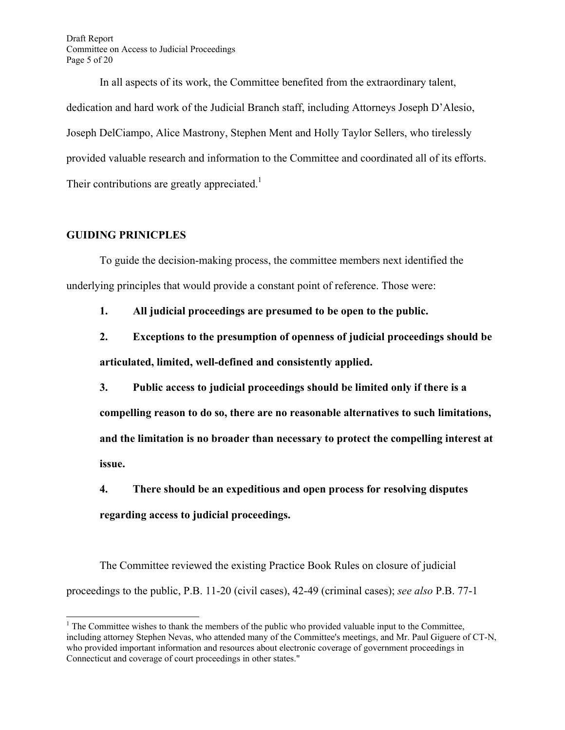Draft Report Committee on Access to Judicial Proceedings Page 5 of 20

 In all aspects of its work, the Committee benefited from the extraordinary talent, dedication and hard work of the Judicial Branch staff, including Attorneys Joseph D'Alesio, Joseph DelCiampo, Alice Mastrony, Stephen Ment and Holly Taylor Sellers, who tirelessly provided valuable research and information to the Committee and coordinated all of its efforts. Their contributions are greatly appreciated.<sup>1</sup>

## **GUIDING PRINICPLES**

 $\overline{\phantom{a}}$ 

To guide the decision-making process, the committee members next identified the underlying principles that would provide a constant point of reference. Those were:

**1. All judicial proceedings are presumed to be open to the public.** 

**2. Exceptions to the presumption of openness of judicial proceedings should be articulated, limited, well-defined and consistently applied.** 

**3. Public access to judicial proceedings should be limited only if there is a compelling reason to do so, there are no reasonable alternatives to such limitations, and the limitation is no broader than necessary to protect the compelling interest at issue.** 

**4. There should be an expeditious and open process for resolving disputes regarding access to judicial proceedings.** 

 The Committee reviewed the existing Practice Book Rules on closure of judicial proceedings to the public, P.B. 11-20 (civil cases), 42-49 (criminal cases); *see also* P.B. 77-1

 $<sup>1</sup>$  The Committee wishes to thank the members of the public who provided valuable input to the Committee,</sup> including attorney Stephen Nevas, who attended many of the Committee's meetings, and Mr. Paul Giguere of CT-N, who provided important information and resources about electronic coverage of government proceedings in Connecticut and coverage of court proceedings in other states."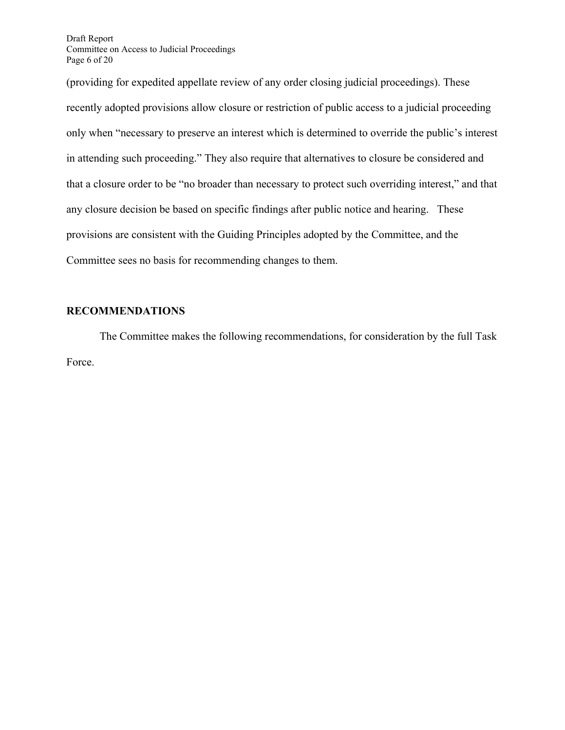Draft Report Committee on Access to Judicial Proceedings Page 6 of 20

(providing for expedited appellate review of any order closing judicial proceedings). These recently adopted provisions allow closure or restriction of public access to a judicial proceeding only when "necessary to preserve an interest which is determined to override the public's interest in attending such proceeding." They also require that alternatives to closure be considered and that a closure order to be "no broader than necessary to protect such overriding interest," and that any closure decision be based on specific findings after public notice and hearing. These provisions are consistent with the Guiding Principles adopted by the Committee, and the Committee sees no basis for recommending changes to them.

## **RECOMMENDATIONS**

The Committee makes the following recommendations, for consideration by the full Task Force.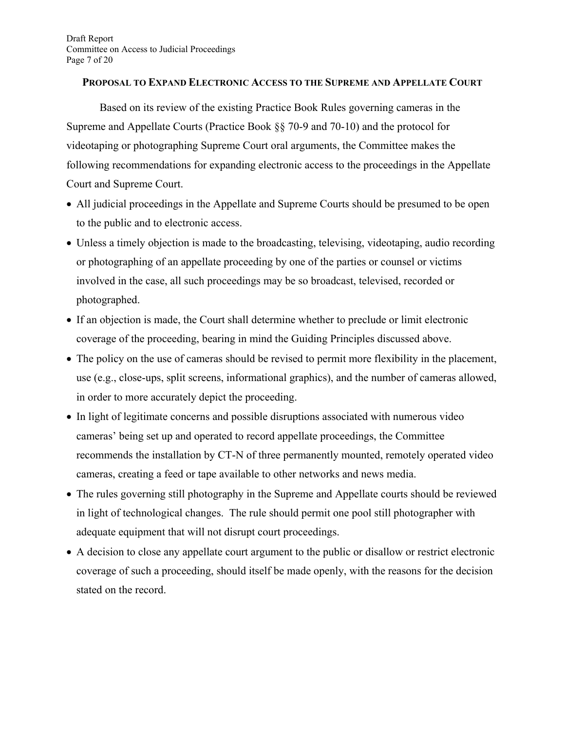## **PROPOSAL TO EXPAND ELECTRONIC ACCESS TO THE SUPREME AND APPELLATE COURT**

Based on its review of the existing Practice Book Rules governing cameras in the Supreme and Appellate Courts (Practice Book §§ 70-9 and 70-10) and the protocol for videotaping or photographing Supreme Court oral arguments, the Committee makes the following recommendations for expanding electronic access to the proceedings in the Appellate Court and Supreme Court.

- All judicial proceedings in the Appellate and Supreme Courts should be presumed to be open to the public and to electronic access.
- Unless a timely objection is made to the broadcasting, televising, videotaping, audio recording or photographing of an appellate proceeding by one of the parties or counsel or victims involved in the case, all such proceedings may be so broadcast, televised, recorded or photographed.
- If an objection is made, the Court shall determine whether to preclude or limit electronic coverage of the proceeding, bearing in mind the Guiding Principles discussed above.
- The policy on the use of cameras should be revised to permit more flexibility in the placement, use (e.g., close-ups, split screens, informational graphics), and the number of cameras allowed, in order to more accurately depict the proceeding.
- In light of legitimate concerns and possible disruptions associated with numerous video cameras' being set up and operated to record appellate proceedings, the Committee recommends the installation by CT-N of three permanently mounted, remotely operated video cameras, creating a feed or tape available to other networks and news media.
- The rules governing still photography in the Supreme and Appellate courts should be reviewed in light of technological changes. The rule should permit one pool still photographer with adequate equipment that will not disrupt court proceedings.
- A decision to close any appellate court argument to the public or disallow or restrict electronic coverage of such a proceeding, should itself be made openly, with the reasons for the decision stated on the record.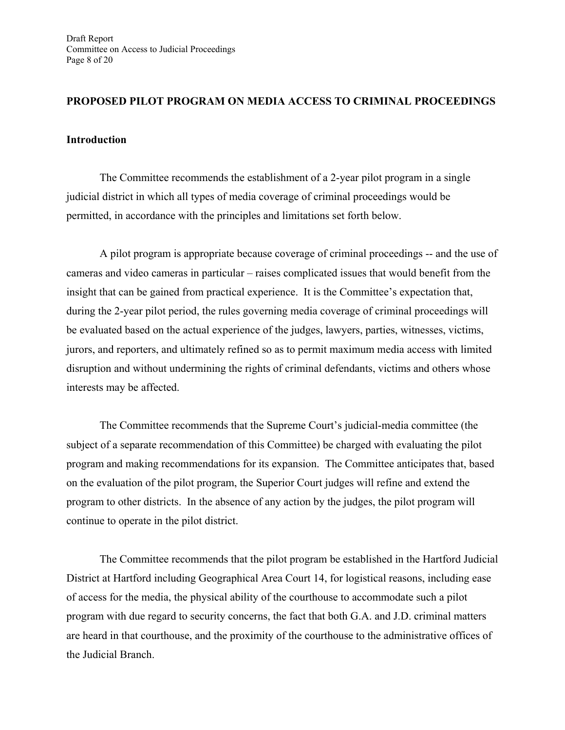## **PROPOSED PILOT PROGRAM ON MEDIA ACCESS TO CRIMINAL PROCEEDINGS**

## **Introduction**

The Committee recommends the establishment of a 2-year pilot program in a single judicial district in which all types of media coverage of criminal proceedings would be permitted, in accordance with the principles and limitations set forth below.

A pilot program is appropriate because coverage of criminal proceedings -- and the use of cameras and video cameras in particular – raises complicated issues that would benefit from the insight that can be gained from practical experience. It is the Committee's expectation that, during the 2-year pilot period, the rules governing media coverage of criminal proceedings will be evaluated based on the actual experience of the judges, lawyers, parties, witnesses, victims, jurors, and reporters, and ultimately refined so as to permit maximum media access with limited disruption and without undermining the rights of criminal defendants, victims and others whose interests may be affected.

The Committee recommends that the Supreme Court's judicial-media committee (the subject of a separate recommendation of this Committee) be charged with evaluating the pilot program and making recommendations for its expansion. The Committee anticipates that, based on the evaluation of the pilot program, the Superior Court judges will refine and extend the program to other districts. In the absence of any action by the judges, the pilot program will continue to operate in the pilot district.

The Committee recommends that the pilot program be established in the Hartford Judicial District at Hartford including Geographical Area Court 14, for logistical reasons, including ease of access for the media, the physical ability of the courthouse to accommodate such a pilot program with due regard to security concerns, the fact that both G.A. and J.D. criminal matters are heard in that courthouse, and the proximity of the courthouse to the administrative offices of the Judicial Branch.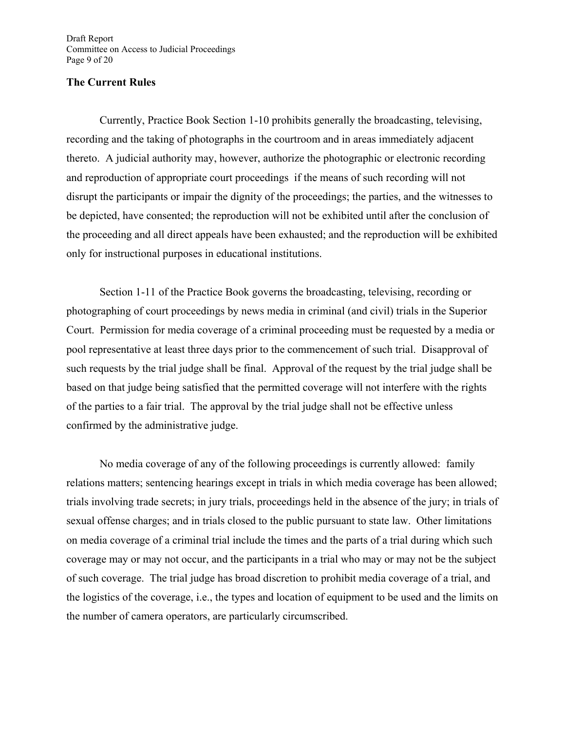Draft Report Committee on Access to Judicial Proceedings Page 9 of 20

## **The Current Rules**

 Currently, Practice Book Section 1-10 prohibits generally the broadcasting, televising, recording and the taking of photographs in the courtroom and in areas immediately adjacent thereto. A judicial authority may, however, authorize the photographic or electronic recording and reproduction of appropriate court proceedings if the means of such recording will not disrupt the participants or impair the dignity of the proceedings; the parties, and the witnesses to be depicted, have consented; the reproduction will not be exhibited until after the conclusion of the proceeding and all direct appeals have been exhausted; and the reproduction will be exhibited only for instructional purposes in educational institutions.

 Section 1-11 of the Practice Book governs the broadcasting, televising, recording or photographing of court proceedings by news media in criminal (and civil) trials in the Superior Court. Permission for media coverage of a criminal proceeding must be requested by a media or pool representative at least three days prior to the commencement of such trial. Disapproval of such requests by the trial judge shall be final. Approval of the request by the trial judge shall be based on that judge being satisfied that the permitted coverage will not interfere with the rights of the parties to a fair trial. The approval by the trial judge shall not be effective unless confirmed by the administrative judge.

 No media coverage of any of the following proceedings is currently allowed: family relations matters; sentencing hearings except in trials in which media coverage has been allowed; trials involving trade secrets; in jury trials, proceedings held in the absence of the jury; in trials of sexual offense charges; and in trials closed to the public pursuant to state law. Other limitations on media coverage of a criminal trial include the times and the parts of a trial during which such coverage may or may not occur, and the participants in a trial who may or may not be the subject of such coverage. The trial judge has broad discretion to prohibit media coverage of a trial, and the logistics of the coverage, i.e., the types and location of equipment to be used and the limits on the number of camera operators, are particularly circumscribed.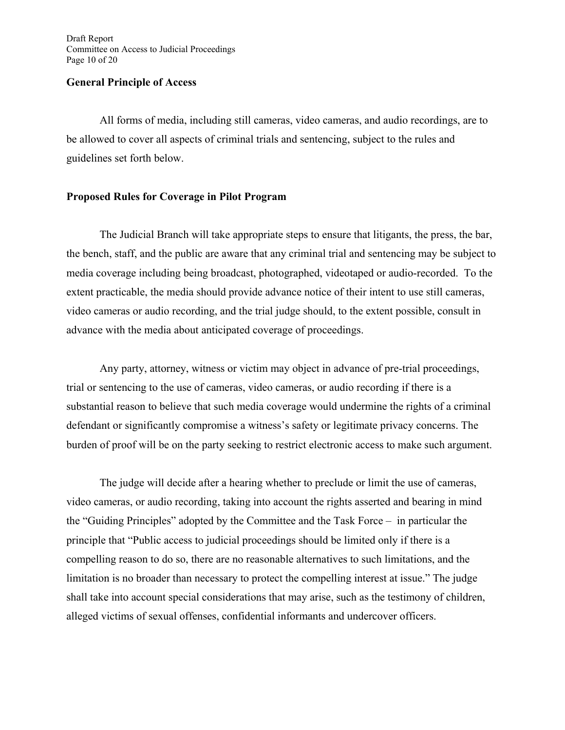#### **General Principle of Access**

All forms of media, including still cameras, video cameras, and audio recordings, are to be allowed to cover all aspects of criminal trials and sentencing, subject to the rules and guidelines set forth below.

## **Proposed Rules for Coverage in Pilot Program**

The Judicial Branch will take appropriate steps to ensure that litigants, the press, the bar, the bench, staff, and the public are aware that any criminal trial and sentencing may be subject to media coverage including being broadcast, photographed, videotaped or audio-recorded. To the extent practicable, the media should provide advance notice of their intent to use still cameras, video cameras or audio recording, and the trial judge should, to the extent possible, consult in advance with the media about anticipated coverage of proceedings.

Any party, attorney, witness or victim may object in advance of pre-trial proceedings, trial or sentencing to the use of cameras, video cameras, or audio recording if there is a substantial reason to believe that such media coverage would undermine the rights of a criminal defendant or significantly compromise a witness's safety or legitimate privacy concerns. The burden of proof will be on the party seeking to restrict electronic access to make such argument.

The judge will decide after a hearing whether to preclude or limit the use of cameras, video cameras, or audio recording, taking into account the rights asserted and bearing in mind the "Guiding Principles" adopted by the Committee and the Task Force – in particular the principle that "Public access to judicial proceedings should be limited only if there is a compelling reason to do so, there are no reasonable alternatives to such limitations, and the limitation is no broader than necessary to protect the compelling interest at issue." The judge shall take into account special considerations that may arise, such as the testimony of children, alleged victims of sexual offenses, confidential informants and undercover officers.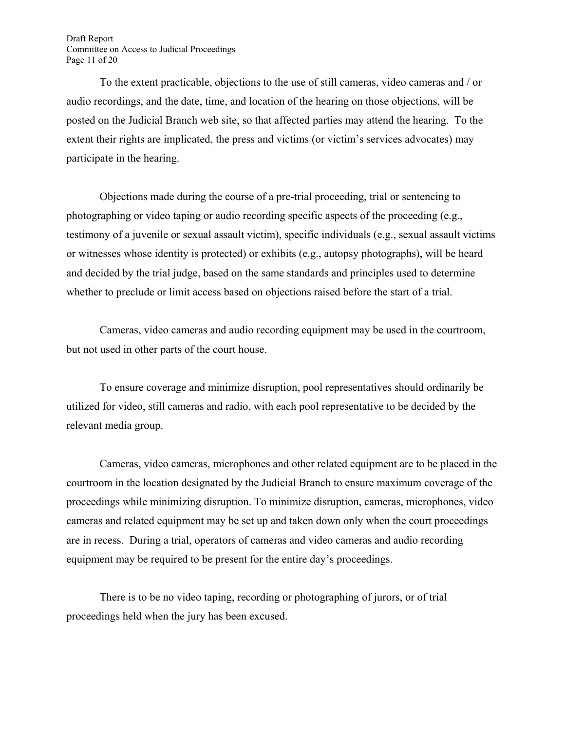Draft Report Committee on Access to Judicial Proceedings Page 11 of 20

To the extent practicable, objections to the use of still cameras, video cameras and / or audio recordings, and the date, time, and location of the hearing on those objections, will be posted on the Judicial Branch web site, so that affected parties may attend the hearing. To the extent their rights are implicated, the press and victims (or victim's services advocates) may participate in the hearing.

Objections made during the course of a pre-trial proceeding, trial or sentencing to photographing or video taping or audio recording specific aspects of the proceeding (e.g., testimony of a juvenile or sexual assault victim), specific individuals (e.g., sexual assault victims or witnesses whose identity is protected) or exhibits (e.g., autopsy photographs), will be heard and decided by the trial judge, based on the same standards and principles used to determine whether to preclude or limit access based on objections raised before the start of a trial.

Cameras, video cameras and audio recording equipment may be used in the courtroom, but not used in other parts of the court house.

To ensure coverage and minimize disruption, pool representatives should ordinarily be utilized for video, still cameras and radio, with each pool representative to be decided by the relevant media group.

Cameras, video cameras, microphones and other related equipment are to be placed in the courtroom in the location designated by the Judicial Branch to ensure maximum coverage of the proceedings while minimizing disruption. To minimize disruption, cameras, microphones, video cameras and related equipment may be set up and taken down only when the court proceedings are in recess. During a trial, operators of cameras and video cameras and audio recording equipment may be required to be present for the entire day's proceedings.

There is to be no video taping, recording or photographing of jurors, or of trial proceedings held when the jury has been excused.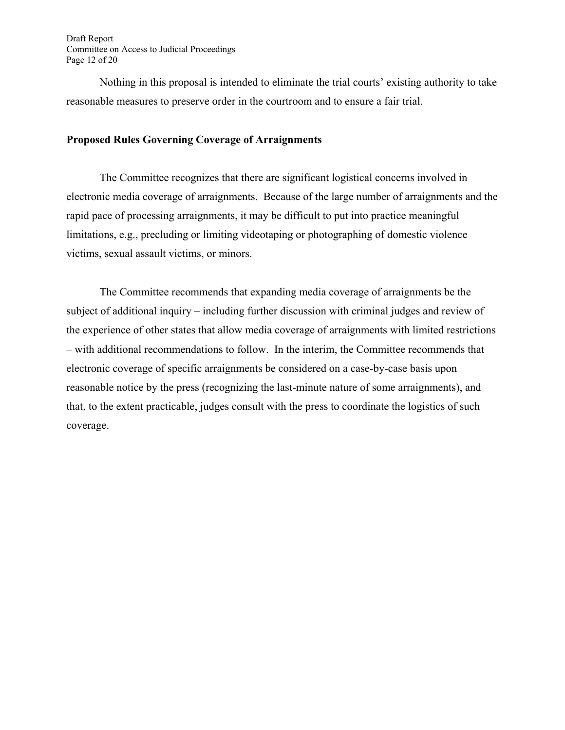Draft Report Committee on Access to Judicial Proceedings Page 12 of 20

Nothing in this proposal is intended to eliminate the trial courts' existing authority to take reasonable measures to preserve order in the courtroom and to ensure a fair trial.

## **Proposed Rules Governing Coverage of Arraignments**

The Committee recognizes that there are significant logistical concerns involved in electronic media coverage of arraignments. Because of the large number of arraignments and the rapid pace of processing arraignments, it may be difficult to put into practice meaningful limitations, e.g., precluding or limiting videotaping or photographing of domestic violence victims, sexual assault victims, or minors.

The Committee recommends that expanding media coverage of arraignments be the subject of additional inquiry – including further discussion with criminal judges and review of the experience of other states that allow media coverage of arraignments with limited restrictions – with additional recommendations to follow. In the interim, the Committee recommends that electronic coverage of specific arraignments be considered on a case-by-case basis upon reasonable notice by the press (recognizing the last-minute nature of some arraignments), and that, to the extent practicable, judges consult with the press to coordinate the logistics of such coverage.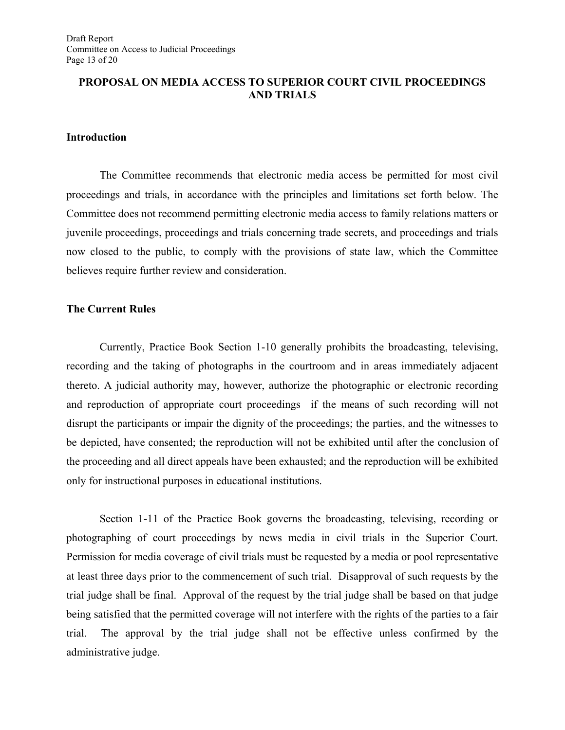## **PROPOSAL ON MEDIA ACCESS TO SUPERIOR COURT CIVIL PROCEEDINGS AND TRIALS**

## **Introduction**

The Committee recommends that electronic media access be permitted for most civil proceedings and trials, in accordance with the principles and limitations set forth below. The Committee does not recommend permitting electronic media access to family relations matters or juvenile proceedings, proceedings and trials concerning trade secrets, and proceedings and trials now closed to the public, to comply with the provisions of state law, which the Committee believes require further review and consideration.

## **The Current Rules**

Currently, Practice Book Section 1-10 generally prohibits the broadcasting, televising, recording and the taking of photographs in the courtroom and in areas immediately adjacent thereto. A judicial authority may, however, authorize the photographic or electronic recording and reproduction of appropriate court proceedings if the means of such recording will not disrupt the participants or impair the dignity of the proceedings; the parties, and the witnesses to be depicted, have consented; the reproduction will not be exhibited until after the conclusion of the proceeding and all direct appeals have been exhausted; and the reproduction will be exhibited only for instructional purposes in educational institutions.

Section 1-11 of the Practice Book governs the broadcasting, televising, recording or photographing of court proceedings by news media in civil trials in the Superior Court. Permission for media coverage of civil trials must be requested by a media or pool representative at least three days prior to the commencement of such trial. Disapproval of such requests by the trial judge shall be final. Approval of the request by the trial judge shall be based on that judge being satisfied that the permitted coverage will not interfere with the rights of the parties to a fair trial. The approval by the trial judge shall not be effective unless confirmed by the administrative judge.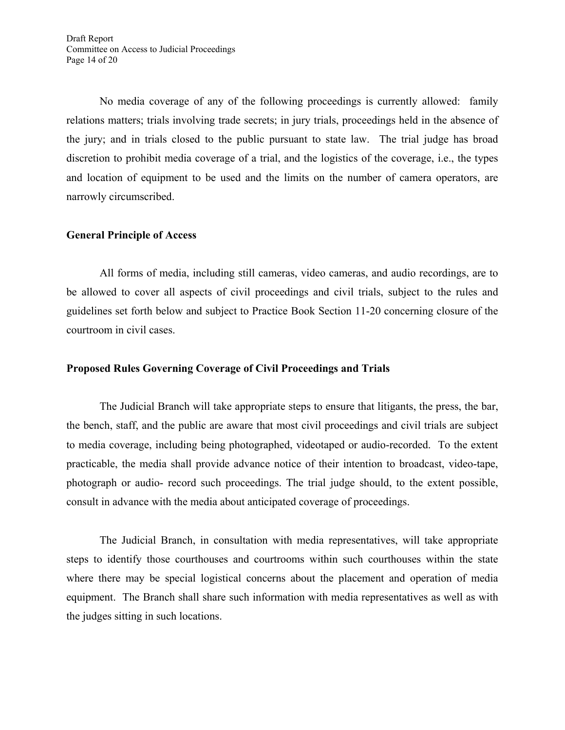No media coverage of any of the following proceedings is currently allowed: family relations matters; trials involving trade secrets; in jury trials, proceedings held in the absence of the jury; and in trials closed to the public pursuant to state law. The trial judge has broad discretion to prohibit media coverage of a trial, and the logistics of the coverage, i.e., the types and location of equipment to be used and the limits on the number of camera operators, are narrowly circumscribed.

## **General Principle of Access**

All forms of media, including still cameras, video cameras, and audio recordings, are to be allowed to cover all aspects of civil proceedings and civil trials, subject to the rules and guidelines set forth below and subject to Practice Book Section 11-20 concerning closure of the courtroom in civil cases.

## **Proposed Rules Governing Coverage of Civil Proceedings and Trials**

The Judicial Branch will take appropriate steps to ensure that litigants, the press, the bar, the bench, staff, and the public are aware that most civil proceedings and civil trials are subject to media coverage, including being photographed, videotaped or audio-recorded. To the extent practicable, the media shall provide advance notice of their intention to broadcast, video-tape, photograph or audio- record such proceedings. The trial judge should, to the extent possible, consult in advance with the media about anticipated coverage of proceedings.

The Judicial Branch, in consultation with media representatives, will take appropriate steps to identify those courthouses and courtrooms within such courthouses within the state where there may be special logistical concerns about the placement and operation of media equipment. The Branch shall share such information with media representatives as well as with the judges sitting in such locations.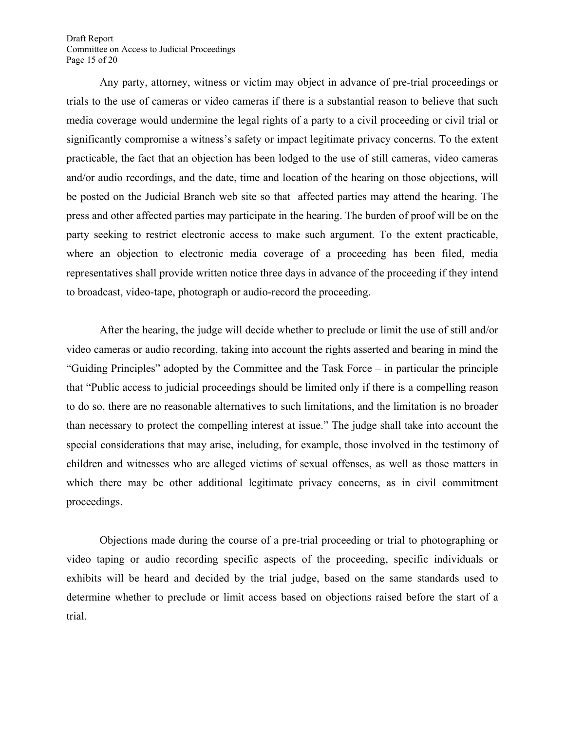Draft Report Committee on Access to Judicial Proceedings Page 15 of 20

Any party, attorney, witness or victim may object in advance of pre-trial proceedings or trials to the use of cameras or video cameras if there is a substantial reason to believe that such media coverage would undermine the legal rights of a party to a civil proceeding or civil trial or significantly compromise a witness's safety or impact legitimate privacy concerns. To the extent practicable, the fact that an objection has been lodged to the use of still cameras, video cameras and/or audio recordings, and the date, time and location of the hearing on those objections, will be posted on the Judicial Branch web site so that affected parties may attend the hearing. The press and other affected parties may participate in the hearing. The burden of proof will be on the party seeking to restrict electronic access to make such argument. To the extent practicable, where an objection to electronic media coverage of a proceeding has been filed, media representatives shall provide written notice three days in advance of the proceeding if they intend to broadcast, video-tape, photograph or audio-record the proceeding.

After the hearing, the judge will decide whether to preclude or limit the use of still and/or video cameras or audio recording, taking into account the rights asserted and bearing in mind the "Guiding Principles" adopted by the Committee and the Task Force – in particular the principle that "Public access to judicial proceedings should be limited only if there is a compelling reason to do so, there are no reasonable alternatives to such limitations, and the limitation is no broader than necessary to protect the compelling interest at issue." The judge shall take into account the special considerations that may arise, including, for example, those involved in the testimony of children and witnesses who are alleged victims of sexual offenses, as well as those matters in which there may be other additional legitimate privacy concerns, as in civil commitment proceedings.

Objections made during the course of a pre-trial proceeding or trial to photographing or video taping or audio recording specific aspects of the proceeding, specific individuals or exhibits will be heard and decided by the trial judge, based on the same standards used to determine whether to preclude or limit access based on objections raised before the start of a trial.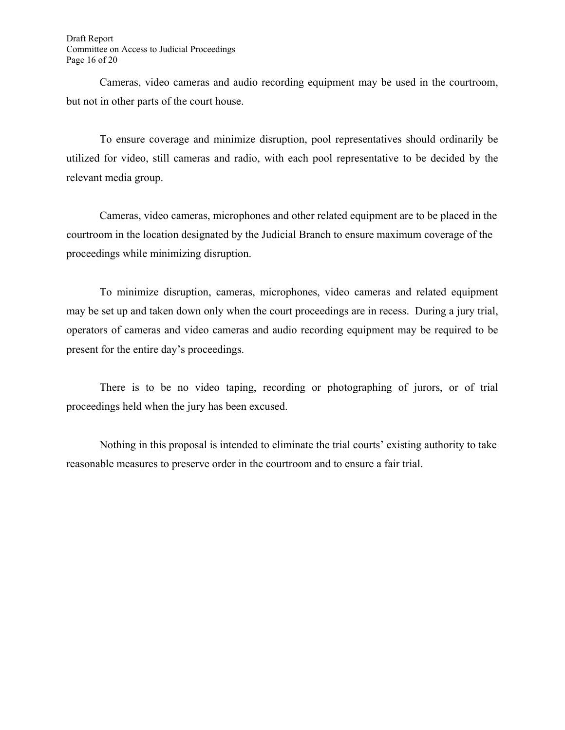Draft Report Committee on Access to Judicial Proceedings Page 16 of 20

Cameras, video cameras and audio recording equipment may be used in the courtroom, but not in other parts of the court house.

To ensure coverage and minimize disruption, pool representatives should ordinarily be utilized for video, still cameras and radio, with each pool representative to be decided by the relevant media group.

Cameras, video cameras, microphones and other related equipment are to be placed in the courtroom in the location designated by the Judicial Branch to ensure maximum coverage of the proceedings while minimizing disruption.

To minimize disruption, cameras, microphones, video cameras and related equipment may be set up and taken down only when the court proceedings are in recess. During a jury trial, operators of cameras and video cameras and audio recording equipment may be required to be present for the entire day's proceedings.

There is to be no video taping, recording or photographing of jurors, or of trial proceedings held when the jury has been excused.

Nothing in this proposal is intended to eliminate the trial courts' existing authority to take reasonable measures to preserve order in the courtroom and to ensure a fair trial.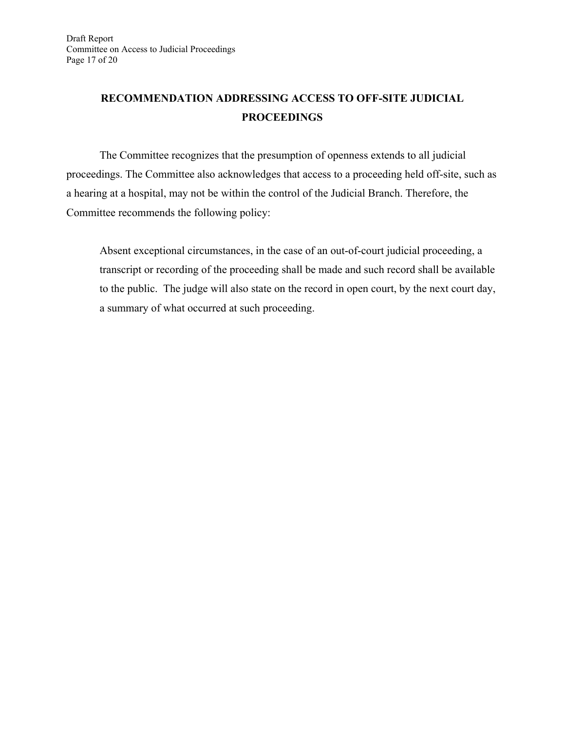## **RECOMMENDATION ADDRESSING ACCESS TO OFF-SITE JUDICIAL PROCEEDINGS**

The Committee recognizes that the presumption of openness extends to all judicial proceedings. The Committee also acknowledges that access to a proceeding held off-site, such as a hearing at a hospital, may not be within the control of the Judicial Branch. Therefore, the Committee recommends the following policy:

Absent exceptional circumstances, in the case of an out-of-court judicial proceeding, a transcript or recording of the proceeding shall be made and such record shall be available to the public. The judge will also state on the record in open court, by the next court day, a summary of what occurred at such proceeding.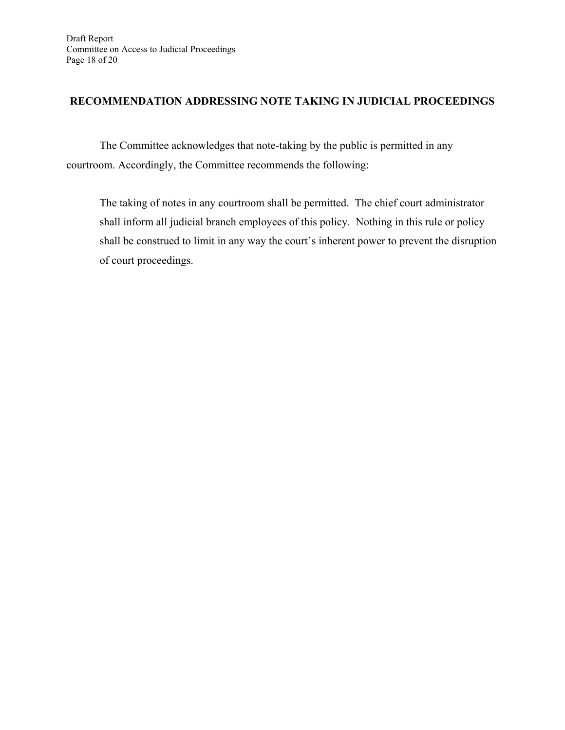## **RECOMMENDATION ADDRESSING NOTE TAKING IN JUDICIAL PROCEEDINGS**

The Committee acknowledges that note-taking by the public is permitted in any courtroom. Accordingly, the Committee recommends the following:

The taking of notes in any courtroom shall be permitted. The chief court administrator shall inform all judicial branch employees of this policy. Nothing in this rule or policy shall be construed to limit in any way the court's inherent power to prevent the disruption of court proceedings.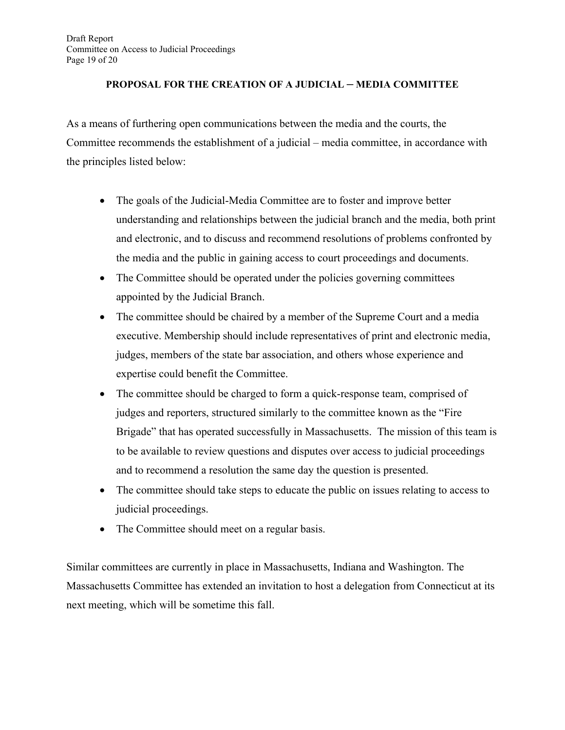## **PROPOSAL FOR THE CREATION OF A JUDICIAL – MEDIA COMMITTEE**

As a means of furthering open communications between the media and the courts, the Committee recommends the establishment of a judicial – media committee, in accordance with the principles listed below:

- The goals of the Judicial-Media Committee are to foster and improve better understanding and relationships between the judicial branch and the media, both print and electronic, and to discuss and recommend resolutions of problems confronted by the media and the public in gaining access to court proceedings and documents.
- The Committee should be operated under the policies governing committees appointed by the Judicial Branch.
- The committee should be chaired by a member of the Supreme Court and a media executive. Membership should include representatives of print and electronic media, judges, members of the state bar association, and others whose experience and expertise could benefit the Committee.
- The committee should be charged to form a quick-response team, comprised of judges and reporters, structured similarly to the committee known as the "Fire Brigade" that has operated successfully in Massachusetts. The mission of this team is to be available to review questions and disputes over access to judicial proceedings and to recommend a resolution the same day the question is presented.
- The committee should take steps to educate the public on issues relating to access to judicial proceedings.
- The Committee should meet on a regular basis.

Similar committees are currently in place in Massachusetts, Indiana and Washington. The Massachusetts Committee has extended an invitation to host a delegation from Connecticut at its next meeting, which will be sometime this fall.